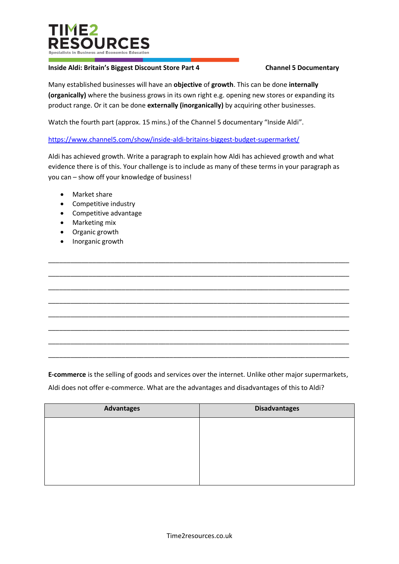

## **Inside Aldi: Britain's Biggest Discount Store Part 4 Channel 5 Documentary**

Many established businesses will have an **objective** of **growth**. This can be done **internally (organically)** where the business grows in its own right e.g. opening new stores or expanding its product range. Or it can be done **externally (inorganically)** by acquiring other businesses.

Watch the fourth part (approx. 15 mins.) of the Channel 5 documentary "Inside Aldi".

<https://www.channel5.com/show/inside-aldi-britains-biggest-budget-supermarket/>

Aldi has achieved growth. Write a paragraph to explain how Aldi has achieved growth and what evidence there is of this. Your challenge is to include as many of these terms in your paragraph as you can – show off your knowledge of business!

\_\_\_\_\_\_\_\_\_\_\_\_\_\_\_\_\_\_\_\_\_\_\_\_\_\_\_\_\_\_\_\_\_\_\_\_\_\_\_\_\_\_\_\_\_\_\_\_\_\_\_\_\_\_\_\_\_\_\_\_\_\_\_\_\_\_\_\_\_\_\_\_\_\_\_\_\_\_\_\_\_\_

\_\_\_\_\_\_\_\_\_\_\_\_\_\_\_\_\_\_\_\_\_\_\_\_\_\_\_\_\_\_\_\_\_\_\_\_\_\_\_\_\_\_\_\_\_\_\_\_\_\_\_\_\_\_\_\_\_\_\_\_\_\_\_\_\_\_\_\_\_\_\_\_\_\_\_\_\_\_\_\_\_\_

\_\_\_\_\_\_\_\_\_\_\_\_\_\_\_\_\_\_\_\_\_\_\_\_\_\_\_\_\_\_\_\_\_\_\_\_\_\_\_\_\_\_\_\_\_\_\_\_\_\_\_\_\_\_\_\_\_\_\_\_\_\_\_\_\_\_\_\_\_\_\_\_\_\_\_\_\_\_\_\_\_\_

\_\_\_\_\_\_\_\_\_\_\_\_\_\_\_\_\_\_\_\_\_\_\_\_\_\_\_\_\_\_\_\_\_\_\_\_\_\_\_\_\_\_\_\_\_\_\_\_\_\_\_\_\_\_\_\_\_\_\_\_\_\_\_\_\_\_\_\_\_\_\_\_\_\_\_\_\_\_\_\_\_\_

\_\_\_\_\_\_\_\_\_\_\_\_\_\_\_\_\_\_\_\_\_\_\_\_\_\_\_\_\_\_\_\_\_\_\_\_\_\_\_\_\_\_\_\_\_\_\_\_\_\_\_\_\_\_\_\_\_\_\_\_\_\_\_\_\_\_\_\_\_\_\_\_\_\_\_\_\_\_\_\_\_\_

\_\_\_\_\_\_\_\_\_\_\_\_\_\_\_\_\_\_\_\_\_\_\_\_\_\_\_\_\_\_\_\_\_\_\_\_\_\_\_\_\_\_\_\_\_\_\_\_\_\_\_\_\_\_\_\_\_\_\_\_\_\_\_\_\_\_\_\_\_\_\_\_\_\_\_\_\_\_\_\_\_\_

\_\_\_\_\_\_\_\_\_\_\_\_\_\_\_\_\_\_\_\_\_\_\_\_\_\_\_\_\_\_\_\_\_\_\_\_\_\_\_\_\_\_\_\_\_\_\_\_\_\_\_\_\_\_\_\_\_\_\_\_\_\_\_\_\_\_\_\_\_\_\_\_\_\_\_\_\_\_\_\_\_\_

\_\_\_\_\_\_\_\_\_\_\_\_\_\_\_\_\_\_\_\_\_\_\_\_\_\_\_\_\_\_\_\_\_\_\_\_\_\_\_\_\_\_\_\_\_\_\_\_\_\_\_\_\_\_\_\_\_\_\_\_\_\_\_\_\_\_\_\_\_\_\_\_\_\_\_\_\_\_\_\_\_\_

- Market share
- Competitive industry
- Competitive advantage
- Marketing mix
- Organic growth
- Inorganic growth

**E-commerce** is the selling of goods and services over the internet. Unlike other major supermarkets,

Aldi does not offer e-commerce. What are the advantages and disadvantages of this to Aldi?

| <b>Advantages</b> | <b>Disadvantages</b> |
|-------------------|----------------------|
|                   |                      |
|                   |                      |
|                   |                      |
|                   |                      |
|                   |                      |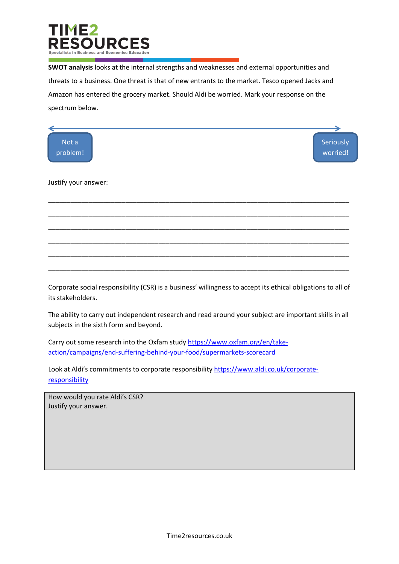

**SWOT analysis** looks at the internal strengths and weaknesses and external opportunities and threats to a business. One threat is that of new entrants to the market. Tesco opened Jacks and Amazon has entered the grocery market. Should Aldi be worried. Mark your response on the spectrum below.



Corporate social responsibility (CSR) is a business' willingness to accept its ethical obligations to all of its stakeholders.

The ability to carry out independent research and read around your subject are important skills in all subjects in the sixth form and beyond.

Carry out some research into the Oxfam study [https://www.oxfam.org/en/take](https://www.oxfam.org/en/take-action/campaigns/end-suffering-behind-your-food/supermarkets-scorecard)[action/campaigns/end-suffering-behind-your-food/supermarkets-scorecard](https://www.oxfam.org/en/take-action/campaigns/end-suffering-behind-your-food/supermarkets-scorecard)

Look at Aldi's commitments to corporate responsibility [https://www.aldi.co.uk/corporate](https://www.aldi.co.uk/corporate-responsibility)[responsibility](https://www.aldi.co.uk/corporate-responsibility)

How would you rate Aldi's CSR? Justify your answer.